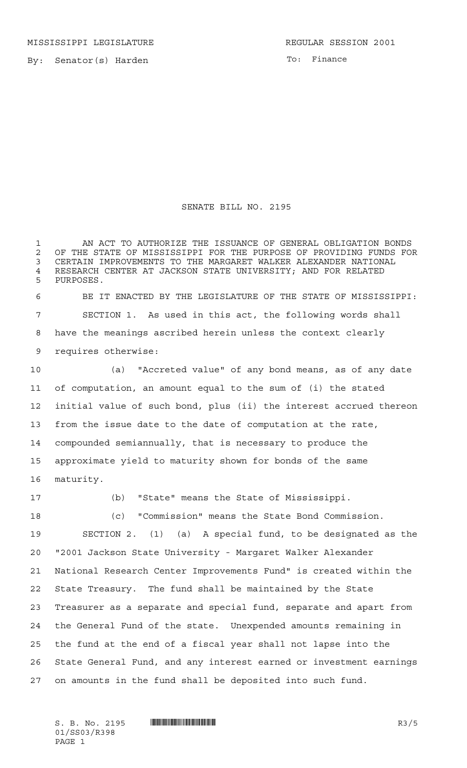MISSISSIPPI LEGISLATURE **REGULAR SESSION 2001** 

By: Senator(s) Harden

To: Finance

## SENATE BILL NO. 2195

 AN ACT TO AUTHORIZE THE ISSUANCE OF GENERAL OBLIGATION BONDS 2 OF THE STATE OF MISSISSIPPI FOR THE PURPOSE OF PROVIDING FUNDS FOR<br>3 CERTAIN IMPROVEMENTS TO THE MARGARET WALKER ALEXANDER NATIONAL CERTAIN IMPROVEMENTS TO THE MARGARET WALKER ALEXANDER NATIONAL 4 RESEARCH CENTER AT JACKSON STATE UNIVERSITY; AND FOR RELATED<br>5 PHRPOSES PURPOSES. BE IT ENACTED BY THE LEGISLATURE OF THE STATE OF MISSISSIPPI:

 SECTION 1. As used in this act, the following words shall have the meanings ascribed herein unless the context clearly requires otherwise:

 (a) "Accreted value" of any bond means, as of any date of computation, an amount equal to the sum of (i) the stated initial value of such bond, plus (ii) the interest accrued thereon from the issue date to the date of computation at the rate, compounded semiannually, that is necessary to produce the approximate yield to maturity shown for bonds of the same maturity.

(b) "State" means the State of Mississippi.

 (c) "Commission" means the State Bond Commission. SECTION 2. (1) (a) A special fund, to be designated as the "2001 Jackson State University - Margaret Walker Alexander National Research Center Improvements Fund" is created within the State Treasury. The fund shall be maintained by the State Treasurer as a separate and special fund, separate and apart from the General Fund of the state. Unexpended amounts remaining in the fund at the end of a fiscal year shall not lapse into the State General Fund, and any interest earned or investment earnings on amounts in the fund shall be deposited into such fund.

01/SS03/R398 PAGE 1

 $S. B. No. 2195$   $\blacksquare$   $\blacksquare$   $\blacksquare$   $\blacksquare$   $\blacksquare$   $\blacksquare$   $\blacksquare$   $\blacksquare$   $\blacksquare$   $\blacksquare$   $\blacksquare$   $\blacksquare$   $\blacksquare$   $\blacksquare$   $\blacksquare$   $\blacksquare$   $\blacksquare$   $\blacksquare$   $\blacksquare$   $\blacksquare$   $\blacksquare$   $\blacksquare$   $\blacksquare$   $\blacksquare$   $\blacksquare$   $\blacksquare$   $\blacksquare$   $\blacksquare$   $\blacksquare$   $\blacks$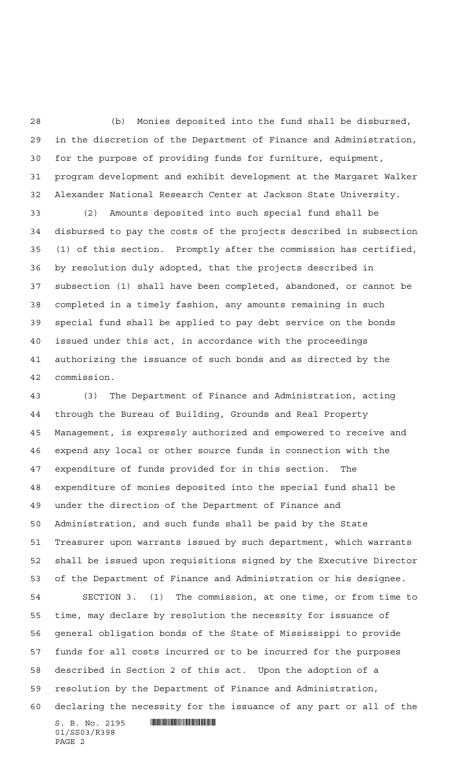(b) Monies deposited into the fund shall be disbursed, in the discretion of the Department of Finance and Administration, for the purpose of providing funds for furniture, equipment, program development and exhibit development at the Margaret Walker Alexander National Research Center at Jackson State University.

 (2) Amounts deposited into such special fund shall be disbursed to pay the costs of the projects described in subsection (1) of this section. Promptly after the commission has certified, by resolution duly adopted, that the projects described in subsection (1) shall have been completed, abandoned, or cannot be completed in a timely fashion, any amounts remaining in such special fund shall be applied to pay debt service on the bonds issued under this act, in accordance with the proceedings authorizing the issuance of such bonds and as directed by the commission.

 $S. B. No. 2195$  . So  $R3.$  (3) The Department of Finance and Administration, acting through the Bureau of Building, Grounds and Real Property Management, is expressly authorized and empowered to receive and expend any local or other source funds in connection with the expenditure of funds provided for in this section. The expenditure of monies deposited into the special fund shall be under the direction of the Department of Finance and Administration, and such funds shall be paid by the State Treasurer upon warrants issued by such department, which warrants shall be issued upon requisitions signed by the Executive Director of the Department of Finance and Administration or his designee. SECTION 3. (1) The commission, at one time, or from time to time, may declare by resolution the necessity for issuance of general obligation bonds of the State of Mississippi to provide funds for all costs incurred or to be incurred for the purposes described in Section 2 of this act. Upon the adoption of a resolution by the Department of Finance and Administration, declaring the necessity for the issuance of any part or all of the

01/SS03/R398 PAGE 2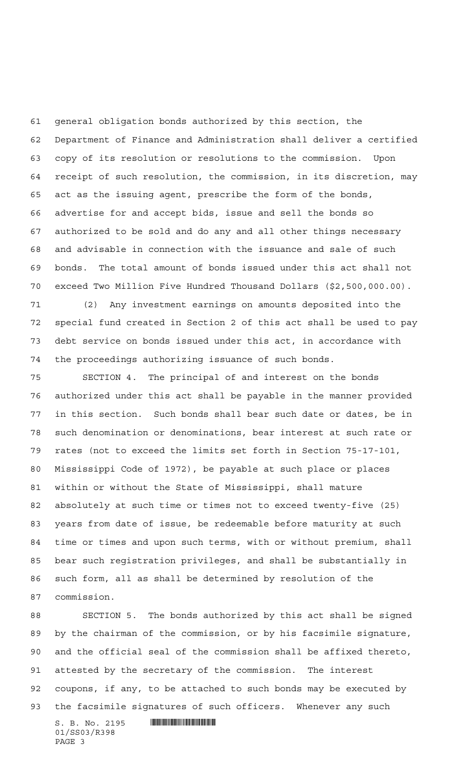general obligation bonds authorized by this section, the Department of Finance and Administration shall deliver a certified copy of its resolution or resolutions to the commission. Upon receipt of such resolution, the commission, in its discretion, may act as the issuing agent, prescribe the form of the bonds, advertise for and accept bids, issue and sell the bonds so authorized to be sold and do any and all other things necessary and advisable in connection with the issuance and sale of such bonds. The total amount of bonds issued under this act shall not exceed Two Million Five Hundred Thousand Dollars (\$2,500,000.00).

 (2) Any investment earnings on amounts deposited into the special fund created in Section 2 of this act shall be used to pay debt service on bonds issued under this act, in accordance with the proceedings authorizing issuance of such bonds.

 SECTION 4. The principal of and interest on the bonds authorized under this act shall be payable in the manner provided in this section. Such bonds shall bear such date or dates, be in such denomination or denominations, bear interest at such rate or rates (not to exceed the limits set forth in Section 75-17-101, Mississippi Code of 1972), be payable at such place or places within or without the State of Mississippi, shall mature absolutely at such time or times not to exceed twenty-five (25) years from date of issue, be redeemable before maturity at such time or times and upon such terms, with or without premium, shall bear such registration privileges, and shall be substantially in such form, all as shall be determined by resolution of the commission.

 SECTION 5. The bonds authorized by this act shall be signed by the chairman of the commission, or by his facsimile signature, and the official seal of the commission shall be affixed thereto, attested by the secretary of the commission. The interest coupons, if any, to be attached to such bonds may be executed by the facsimile signatures of such officers. Whenever any such

 $S. B. No. 2195$  . So  $R3.$ 01/SS03/R398 PAGE 3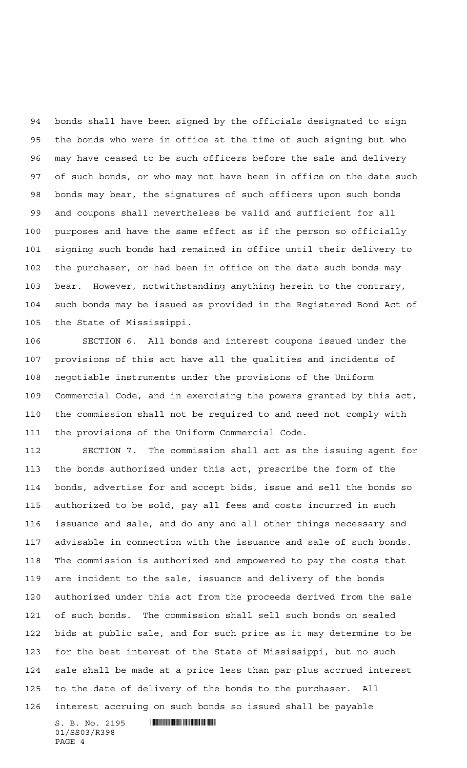bonds shall have been signed by the officials designated to sign the bonds who were in office at the time of such signing but who may have ceased to be such officers before the sale and delivery of such bonds, or who may not have been in office on the date such bonds may bear, the signatures of such officers upon such bonds and coupons shall nevertheless be valid and sufficient for all purposes and have the same effect as if the person so officially signing such bonds had remained in office until their delivery to the purchaser, or had been in office on the date such bonds may bear. However, notwithstanding anything herein to the contrary, such bonds may be issued as provided in the Registered Bond Act of the State of Mississippi.

 SECTION 6. All bonds and interest coupons issued under the provisions of this act have all the qualities and incidents of negotiable instruments under the provisions of the Uniform Commercial Code, and in exercising the powers granted by this act, the commission shall not be required to and need not comply with the provisions of the Uniform Commercial Code.

 SECTION 7. The commission shall act as the issuing agent for the bonds authorized under this act, prescribe the form of the bonds, advertise for and accept bids, issue and sell the bonds so authorized to be sold, pay all fees and costs incurred in such issuance and sale, and do any and all other things necessary and advisable in connection with the issuance and sale of such bonds. The commission is authorized and empowered to pay the costs that are incident to the sale, issuance and delivery of the bonds authorized under this act from the proceeds derived from the sale of such bonds. The commission shall sell such bonds on sealed bids at public sale, and for such price as it may determine to be for the best interest of the State of Mississippi, but no such sale shall be made at a price less than par plus accrued interest to the date of delivery of the bonds to the purchaser. All interest accruing on such bonds so issued shall be payable

 $S. B. No. 2195$  . So  $R3.$ 01/SS03/R398 PAGE 4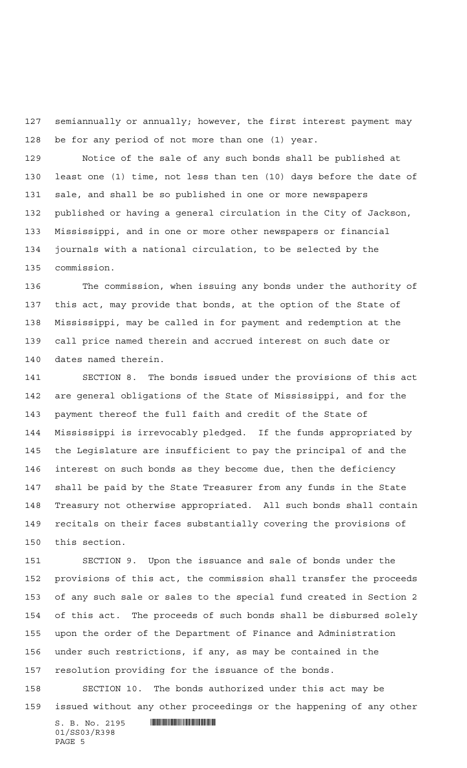semiannually or annually; however, the first interest payment may be for any period of not more than one (1) year.

 Notice of the sale of any such bonds shall be published at least one (1) time, not less than ten (10) days before the date of sale, and shall be so published in one or more newspapers published or having a general circulation in the City of Jackson, Mississippi, and in one or more other newspapers or financial journals with a national circulation, to be selected by the commission.

 The commission, when issuing any bonds under the authority of this act, may provide that bonds, at the option of the State of Mississippi, may be called in for payment and redemption at the call price named therein and accrued interest on such date or dates named therein.

 SECTION 8. The bonds issued under the provisions of this act are general obligations of the State of Mississippi, and for the payment thereof the full faith and credit of the State of Mississippi is irrevocably pledged. If the funds appropriated by the Legislature are insufficient to pay the principal of and the interest on such bonds as they become due, then the deficiency shall be paid by the State Treasurer from any funds in the State Treasury not otherwise appropriated. All such bonds shall contain recitals on their faces substantially covering the provisions of this section.

 SECTION 9. Upon the issuance and sale of bonds under the provisions of this act, the commission shall transfer the proceeds of any such sale or sales to the special fund created in Section 2 of this act. The proceeds of such bonds shall be disbursed solely upon the order of the Department of Finance and Administration under such restrictions, if any, as may be contained in the resolution providing for the issuance of the bonds.

 SECTION 10. The bonds authorized under this act may be issued without any other proceedings or the happening of any other

 $S. B. No. 2195$  . So  $R3.$ 01/SS03/R398 PAGE 5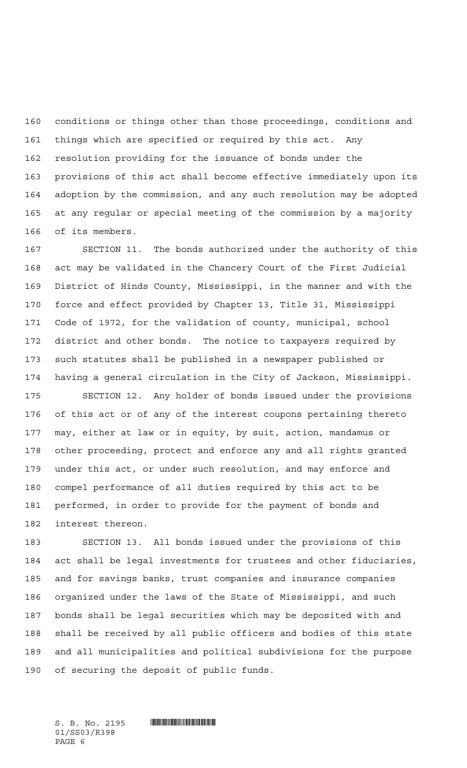conditions or things other than those proceedings, conditions and things which are specified or required by this act. Any resolution providing for the issuance of bonds under the provisions of this act shall become effective immediately upon its adoption by the commission, and any such resolution may be adopted at any regular or special meeting of the commission by a majority of its members.

 SECTION 11. The bonds authorized under the authority of this act may be validated in the Chancery Court of the First Judicial District of Hinds County, Mississippi, in the manner and with the force and effect provided by Chapter 13, Title 31, Mississippi Code of 1972, for the validation of county, municipal, school district and other bonds. The notice to taxpayers required by such statutes shall be published in a newspaper published or having a general circulation in the City of Jackson, Mississippi.

 SECTION 12. Any holder of bonds issued under the provisions of this act or of any of the interest coupons pertaining thereto may, either at law or in equity, by suit, action, mandamus or other proceeding, protect and enforce any and all rights granted under this act, or under such resolution, and may enforce and compel performance of all duties required by this act to be performed, in order to provide for the payment of bonds and interest thereon.

 SECTION 13. All bonds issued under the provisions of this act shall be legal investments for trustees and other fiduciaries, and for savings banks, trust companies and insurance companies organized under the laws of the State of Mississippi, and such bonds shall be legal securities which may be deposited with and shall be received by all public officers and bodies of this state and all municipalities and political subdivisions for the purpose of securing the deposit of public funds.

01/SS03/R398 PAGE 6

 $S. B. No. 2195$  . So  $S. 2195$